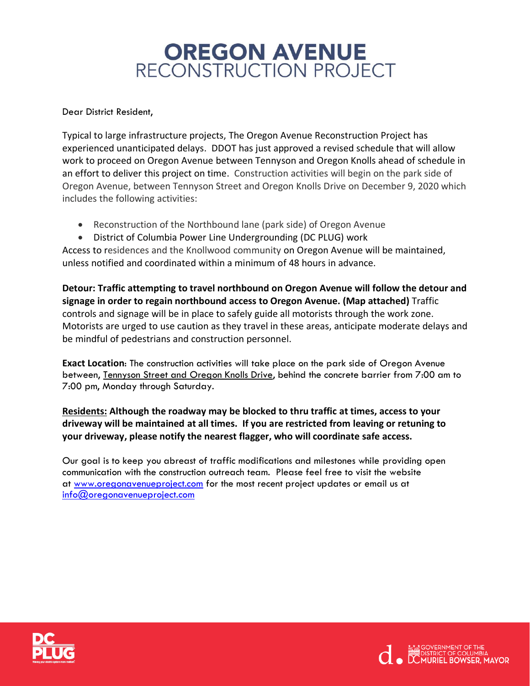## **OREGON AVENUE** RECONSTRUCTION PROJECT

Dear District Resident,

Typical to large infrastructure projects, The Oregon Avenue Reconstruction Project has experienced unanticipated delays. DDOT has just approved a revised schedule that will allow work to proceed on Oregon Avenue between Tennyson and Oregon Knolls ahead of schedule in an effort to deliver this project on time. Construction activities will begin on the park side of Oregon Avenue, between Tennyson Street and Oregon Knolls Drive on December 9, 2020 which includes the following activities:

- Reconstruction of the Northbound lane (park side) of Oregon Avenue
- District of Columbia Power Line Undergrounding (DC PLUG) work

Access to residences and the Knollwood community on Oregon Avenue will be maintained, unless notified and coordinated within a minimum of 48 hours in advance.

**Detour: Traffic attempting to travel northbound on Oregon Avenue will follow the detour and signage in order to regain northbound access to Oregon Avenue. (Map attached)** Traffic controls and signage will be in place to safely guide all motorists through the work zone. Motorists are urged to use caution as they travel in these areas, anticipate moderate delays and be mindful of pedestrians and construction personnel.

**Exact Location**: The construction activities will take place on the park side of Oregon Avenue between, Tennyson Street and Oregon Knolls Drive, behind the concrete barrier from 7:00 am to 7:00 pm, Monday through Saturday.

## **Residents: Although the roadway may be blocked to thru traffic at times, access to your driveway will be maintained at all times. If you are restricted from leaving or retuning to your driveway, please notify the nearest flagger, who will coordinate safe access.**

Our goal is to keep you abreast of traffic modifications and milestones while providing open communication with the construction outreach team. Please feel free to visit the website at [www.oregonavenueproject.com](http://www.oregonavenueproject.com/) for the most recent project updates or email us at [info@oregonavenueproject.com](mailto:info@oregonavenueproject.com)